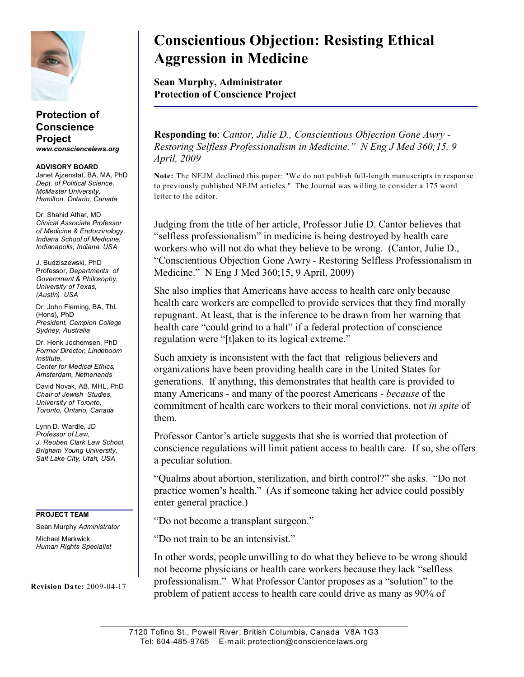

## **Protection of Conscience Project** *www.consciencelaws.org*

**ADVISORY BOARD** Janet Ajzenstat, BA, MA, PhD *Dept. of Political Science, McMaster University, Hamilton, Ontario, Canada*

Dr. Shahid Athar, MD *Clinical Associate Professor of Medicine & Endocrinology, Indiana School of Medicine, Indianapolis, Indiana, USA*

J. Budziszewski, PhD Professor, *Departments of Government & Philosophy, University of Texas, (Austin) USA*

Dr. John Fleming, BA, ThL (Hons), PhD *President, Campion College Sydney, Australia*

Dr. Henk Jochemsen, PhD *Former Director, Lindeboom Institute, Center for Medical Ethics, Amsterdam, Netherlands*

David Novak, AB, MHL, PhD *Chair of Jewish Studies, University of Toronto, Toronto, Ontario, Canada*

Lynn D. Wardle, JD *Professor of Law, J. Reuben Clark Law School, Brigham Young University, Salt Lake City, Utah, USA*

## **PROJECT TEAM**

Sean Murphy *Administrator* Michael Markwick *Human Rights Specialist*

**Revision Date:** 2009-04-17

## **Conscientious Objection: Resisting Ethical Aggression in Medicine**

**Sean Murphy, Administrator Protection of Conscience Project**

**Responding to**: *Cantor, Julie D., Conscientious Objection Gone Awry - Restoring Selfless Professionalism in Medicine." N Eng J Med 360;15, 9 April, 2009*

**Note:** The NEJM declined this paper: "We do not publish full-length manuscripts in response to previously published NEJM articles." The Journal was willing to consider a 175 word letter to the editor.

Judging from the title of her article, Professor Julie D. Cantor believes that "selfless professionalism" in medicine is being destroyed by health care workers who will not do what they believe to be wrong. (Cantor, Julie D., "Conscientious Objection Gone Awry - Restoring Selfless Professionalism in Medicine." N Eng J Med 360;15, 9 April, 2009)

She also implies that Americans have access to health care only because health care workers are compelled to provide services that they find morally repugnant. At least, that is the inference to be drawn from her warning that health care "could grind to a halt" if a federal protection of conscience regulation were "[t]aken to its logical extreme."

Such anxiety is inconsistent with the fact that religious believers and organizations have been providing health care in the United States for generations. If anything, this demonstrates that health care is provided to many Americans - and many of the poorest Americans - *because* of the commitment of health care workers to their moral convictions, not *in spite* of them.

Professor Cantor's article suggests that she is worried that protection of conscience regulations will limit patient access to health care. If so, she offers a peculiar solution.

"Qualms about abortion, sterilization, and birth control?" she asks. "Do not practice women's health." (As if someone taking her advice could possibly enter general practice.)

"Do not become a transplant surgeon."

"Do not train to be an intensivist."

In other words, people unwilling to do what they believe to be wrong should not become physicians or health care workers because they lack "selfless professionalism." What Professor Cantor proposes as a "solution" to the problem of patient access to health care could drive as many as 90% of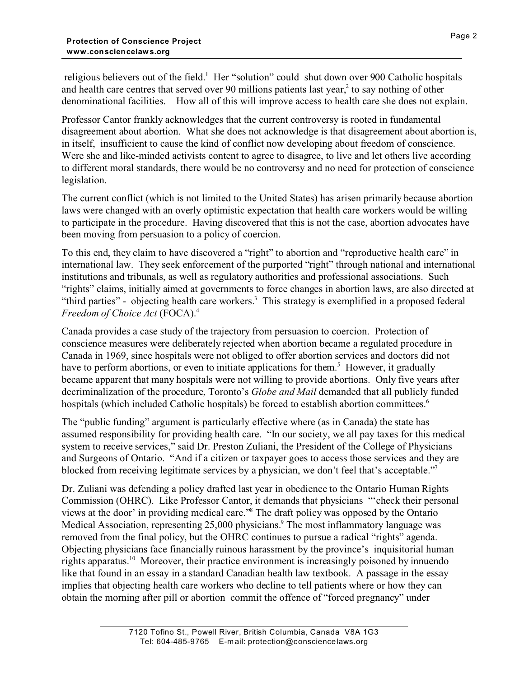religious believers out of the field.<sup>1</sup> Her "solution" could shut down over 900 Catholic hospitals and health care centres that served over 90 millions patients last year,<sup>2</sup> to say nothing of other denominational facilities. How all of this will improve access to health care she does not explain.

Professor Cantor frankly acknowledges that the current controversy is rooted in fundamental disagreement about abortion. What she does not acknowledge is that disagreement about abortion is, in itself, insufficient to cause the kind of conflict now developing about freedom of conscience. Were she and like-minded activists content to agree to disagree, to live and let others live according to different moral standards, there would be no controversy and no need for protection of conscience legislation.

The current conflict (which is not limited to the United States) has arisen primarily because abortion laws were changed with an overly optimistic expectation that health care workers would be willing to participate in the procedure. Having discovered that this is not the case, abortion advocates have been moving from persuasion to a policy of coercion.

To this end, they claim to have discovered a "right" to abortion and "reproductive health care" in international law. They seek enforcement of the purported "right" through national and international institutions and tribunals, as well as regulatory authorities and professional associations. Such "rights" claims, initially aimed at governments to force changes in abortion laws, are also directed at "third parties" - objecting health care workers.<sup>3</sup> This strategy is exemplified in a proposed federal *Freedom of Choice Act* (FOCA).<sup>4</sup>

Canada provides a case study of the trajectory from persuasion to coercion. Protection of conscience measures were deliberately rejected when abortion became a regulated procedure in Canada in 1969, since hospitals were not obliged to offer abortion services and doctors did not have to perform abortions, or even to initiate applications for them.<sup>5</sup> However, it gradually became apparent that many hospitals were not willing to provide abortions. Only five years after decriminalization of the procedure, Toronto's *Globe and Mail* demanded that all publicly funded hospitals (which included Catholic hospitals) be forced to establish abortion committees.<sup>6</sup>

The "public funding" argument is particularly effective where (as in Canada) the state has assumed responsibility for providing health care. "In our society, we all pay taxes for this medical system to receive services," said Dr. Preston Zuliani, the President of the College of Physicians and Surgeons of Ontario. "And if a citizen or taxpayer goes to access those services and they are blocked from receiving legitimate services by a physician, we don't feel that's acceptable."<sup>7</sup>

Dr. Zuliani was defending a policy drafted last year in obedience to the Ontario Human Rights Commission (OHRC). Like Professor Cantor, it demands that physicians "'check their personal views at the door' in providing medical care."<sup>8</sup> The draft policy was opposed by the Ontario Medical Association, representing 25,000 physicians.<sup>9</sup> The most inflammatory language was removed from the final policy, but the OHRC continues to pursue a radical "rights" agenda. Objecting physicians face financially ruinous harassment by the province's inquisitorial human rights apparatus.<sup>10</sup> Moreover, their practice environment is increasingly poisoned by innuendo like that found in an essay in a standard Canadian health law textbook. A passage in the essay implies that objecting health care workers who decline to tell patients where or how they can obtain the morning after pill or abortion commit the offence of "forced pregnancy" under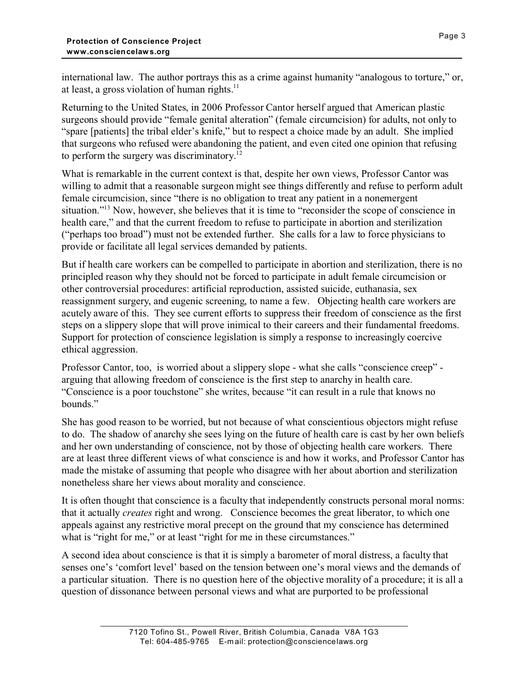international law. The author portrays this as a crime against humanity "analogous to torture," or, at least, a gross violation of human rights. $^{11}$ 

Returning to the United States, in 2006 Professor Cantor herself argued that American plastic surgeons should provide "female genital alteration" (female circumcision) for adults, not only to "spare [patients] the tribal elder's knife," but to respect a choice made by an adult. She implied that surgeons who refused were abandoning the patient, and even cited one opinion that refusing to perform the surgery was discriminatory.<sup>12</sup>

What is remarkable in the current context is that, despite her own views, Professor Cantor was willing to admit that a reasonable surgeon might see things differently and refuse to perform adult female circumcision, since "there is no obligation to treat any patient in a nonemergent situation."<sup>13</sup> Now, however, she believes that it is time to "reconsider the scope of conscience in health care," and that the current freedom to refuse to participate in abortion and sterilization ("perhaps too broad") must not be extended further. She calls for a law to force physicians to provide or facilitate all legal services demanded by patients.

But if health care workers can be compelled to participate in abortion and sterilization, there is no principled reason why they should not be forced to participate in adult female circumcision or other controversial procedures: artificial reproduction, assisted suicide, euthanasia, sex reassignment surgery, and eugenic screening, to name a few. Objecting health care workers are acutely aware of this. They see current efforts to suppress their freedom of conscience as the first steps on a slippery slope that will prove inimical to their careers and their fundamental freedoms. Support for protection of conscience legislation is simply a response to increasingly coercive ethical aggression.

Professor Cantor, too, is worried about a slippery slope - what she calls "conscience creep" arguing that allowing freedom of conscience is the first step to anarchy in health care. "Conscience is a poor touchstone" she writes, because "it can result in a rule that knows no bounds."

She has good reason to be worried, but not because of what conscientious objectors might refuse to do. The shadow of anarchy she sees lying on the future of health care is cast by her own beliefs and her own understanding of conscience, not by those of objecting health care workers. There are at least three different views of what conscience is and how it works, and Professor Cantor has made the mistake of assuming that people who disagree with her about abortion and sterilization nonetheless share her views about morality and conscience.

It is often thought that conscience is a faculty that independently constructs personal moral norms: that it actually *creates* right and wrong. Conscience becomes the great liberator, to which one appeals against any restrictive moral precept on the ground that my conscience has determined what is "right for me," or at least "right for me in these circumstances."

A second idea about conscience is that it is simply a barometer of moral distress, a faculty that senses one's 'comfort level' based on the tension between one's moral views and the demands of a particular situation. There is no question here of the objective morality of a procedure; it is all a question of dissonance between personal views and what are purported to be professional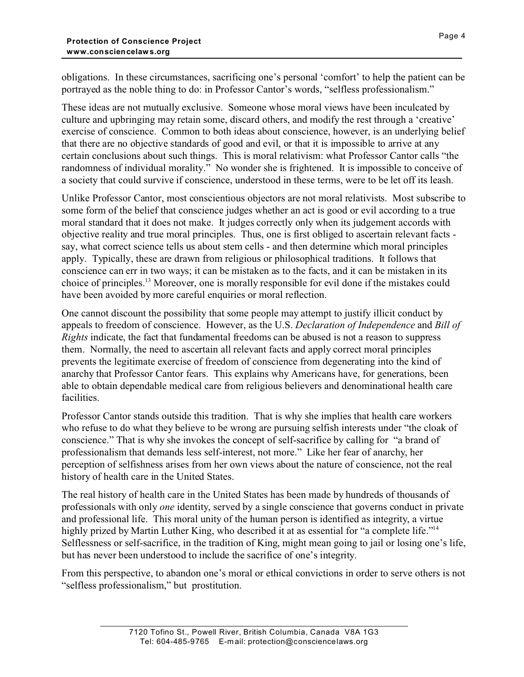obligations. In these circumstances, sacrificing one's personal 'comfort' to help the patient can be portrayed as the noble thing to do: in Professor Cantor's words, "selfless professionalism."

These ideas are not mutually exclusive. Someone whose moral views have been inculcated by culture and upbringing may retain some, discard others, and modify the rest through a 'creative' exercise of conscience. Common to both ideas about conscience, however, is an underlying belief that there are no objective standards of good and evil, or that it is impossible to arrive at any certain conclusions about such things. This is moral relativism: what Professor Cantor calls "the randomness of individual morality." No wonder she is frightened. It is impossible to conceive of a society that could survive if conscience, understood in these terms, were to be let off its leash.

Unlike Professor Cantor, most conscientious objectors are not moral relativists. Most subscribe to some form of the belief that conscience judges whether an act is good or evil according to a true moral standard that it does not make. It judges correctly only when its judgement accords with objective reality and true moral principles. Thus, one is first obliged to ascertain relevant facts say, what correct science tells us about stem cells - and then determine which moral principles apply. Typically, these are drawn from religious or philosophical traditions. It follows that conscience can err in two ways; it can be mistaken as to the facts, and it can be mistaken in its choice of principles.<sup>13</sup> Moreover, one is morally responsible for evil done if the mistakes could have been avoided by more careful enquiries or moral reflection.

One cannot discount the possibility that some people may attempt to justify illicit conduct by appeals to freedom of conscience. However, as the U.S. *Declaration of Independence* and *Bill of Rights* indicate, the fact that fundamental freedoms can be abused is not a reason to suppress them. Normally, the need to ascertain all relevant facts and apply correct moral principles prevents the legitimate exercise of freedom of conscience from degenerating into the kind of anarchy that Professor Cantor fears. This explains why Americans have, for generations, been able to obtain dependable medical care from religious believers and denominational health care facilities.

Professor Cantor stands outside this tradition. That is why she implies that health care workers who refuse to do what they believe to be wrong are pursuing selfish interests under "the cloak of conscience." That is why she invokes the concept of self-sacrifice by calling for "a brand of professionalism that demands less self-interest, not more." Like her fear of anarchy, her perception of selfishness arises from her own views about the nature of conscience, not the real history of health care in the United States.

The real history of health care in the United States has been made by hundreds of thousands of professionals with only *one* identity, served by a single conscience that governs conduct in private and professional life. This moral unity of the human person is identified as integrity, a virtue highly prized by Martin Luther King, who described it at as essential for "a complete life."<sup>14</sup> Selflessness or self-sacrifice, in the tradition of King, might mean going to jail or losing one's life, but has never been understood to include the sacrifice of one's integrity.

From this perspective, to abandon one's moral or ethical convictions in order to serve others is not "selfless professionalism," but prostitution.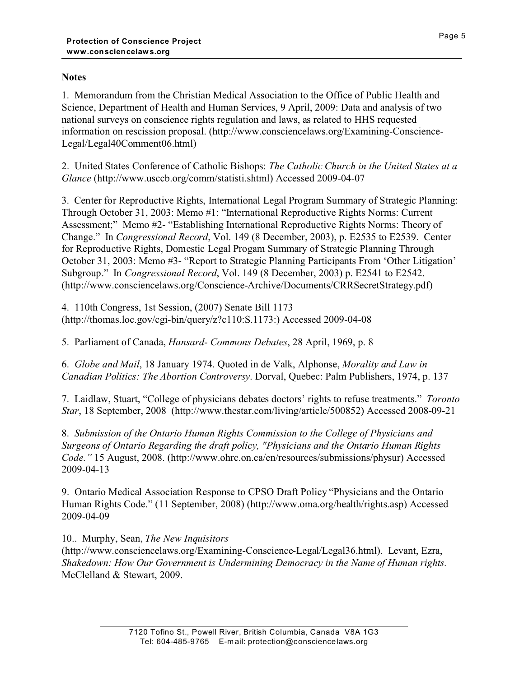## **Notes**

1. Memorandum from the Christian Medical Association to the Office of Public Health and Science, Department of Health and Human Services, 9 April, 2009: Data and analysis of two national surveys on conscience rights regulation and laws, as related to HHS requested information on rescission proposal. (http://www.consciencelaws.org/Examining-Conscience-Legal/Legal40Comment06.html)

2. United States Conference of Catholic Bishops: *The Catholic Church in the United States at a Glance* (http://www.usccb.org/comm/statisti.shtml) Accessed 2009-04-07

3. Center for Reproductive Rights, International Legal Program Summary of Strategic Planning: Through October 31, 2003: Memo #1: "International Reproductive Rights Norms: Current Assessment;" Memo #2- "Establishing International Reproductive Rights Norms: Theory of Change." In *Congressional Record*, Vol. 149 (8 December, 2003), p. E2535 to E2539. Center for Reproductive Rights, Domestic Legal Progam Summary of Strategic Planning Through October 31, 2003: Memo #3- "Report to Strategic Planning Participants From 'Other Litigation' Subgroup." In *Congressional Record*, Vol. 149 (8 December, 2003) p. E2541 to E2542. (http://www.consciencelaws.org/Conscience-Archive/Documents/CRRSecretStrategy.pdf)

4. 110th Congress, 1st Session, (2007) Senate Bill 1173 (http://thomas.loc.gov/cgi-bin/query/z?c110:S.1173:) Accessed 2009-04-08

5. Parliament of Canada, *Hansard- Commons Debates*, 28 April, 1969, p. 8

6. *Globe and Mail*, 18 January 1974. Quoted in de Valk, Alphonse, *Morality and Law in Canadian Politics: The Abortion Controversy*. Dorval, Quebec: Palm Publishers, 1974, p. 137

7. Laidlaw, Stuart, "College of physicians debates doctors' rights to refuse treatments." *Toronto Star*, 18 September, 2008 (http://www.thestar.com/living/article/500852) Accessed 2008-09-21

8. *Submission of the Ontario Human Rights Commission to the College of Physicians and Surgeons of Ontario Regarding the draft policy, "Physicians and the Ontario Human Rights Code."* 15 August, 2008. (http://www.ohrc.on.ca/en/resources/submissions/physur) Accessed 2009-04-13

9. Ontario Medical Association Response to CPSO Draft Policy "Physicians and the Ontario Human Rights Code." (11 September, 2008) (http://www.oma.org/health/rights.asp) Accessed 2009-04-09

10.. Murphy, Sean, *The New Inquisitors*

(http://www.consciencelaws.org/Examining-Conscience-Legal/Legal36.html). Levant, Ezra, *Shakedown: How Our Government is Undermining Democracy in the Name of Human rights.*  McClelland & Stewart, 2009.